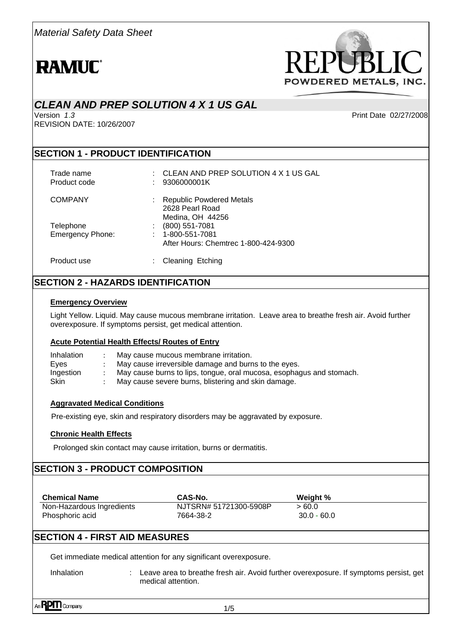

# *CLEAN AND PREP SOLUTION 4 X 1 US GAL*

Version *1*.*3* Print Date 02/27/2008 REVISION DATE: 10/26/2007

#### **SECTION 1 - PRODUCT IDENTIFICATION**

| Trade name<br>Product code           | CLEAN AND PREP SOLUTION 4 X 1 US GAL<br>t.<br>9306000001K                          |
|--------------------------------------|------------------------------------------------------------------------------------|
| <b>COMPANY</b>                       | : Republic Powdered Metals<br>2628 Pearl Road<br>Medina, OH 44256                  |
| Telephone<br><b>Emergency Phone:</b> | (800) 551-7081<br>$: 1 - 800 - 551 - 7081$<br>After Hours: Chemtrec 1-800-424-9300 |
| Product use                          | Cleaning Etching                                                                   |

## **SECTION 2 - HAZARDS IDENTIFICATION**

#### **Emergency Overview**

Light Yellow. Liquid. May cause mucous membrane irritation. Leave area to breathe fresh air. Avoid further overexposure. If symptoms persist, get medical attention.

#### **Acute Potential Health Effects/ Routes of Entry**

| Inhalation  | May cause mucous membrane irritation.                                |
|-------------|----------------------------------------------------------------------|
| Eyes        | May cause irreversible damage and burns to the eyes.                 |
| Ingestion   | May cause burns to lips, tongue, oral mucosa, esophagus and stomach. |
| <b>Skin</b> | May cause severe burns, blistering and skin damage.                  |

#### **Aggravated Medical Conditions**

Pre-existing eye, skin and respiratory disorders may be aggravated by exposure.

#### **Chronic Health Effects**

Prolonged skin contact may cause irritation, burns or dermatitis.

#### **SECTION 3 - PRODUCT COMPOSITION**

| <b>Chemical Name</b>      | CAS-No.                | Weight %      |
|---------------------------|------------------------|---------------|
| Non-Hazardous Ingredients | NJTSRN# 51721300-5908P | >60.0         |
| Phosphoric acid           | 7664-38-2              | $30.0 - 60.0$ |

## **SECTION 4 - FIRST AID MEASURES**

Get immediate medical attention for any significant overexposure.

Inhalation : Leave area to breathe fresh air. Avoid further overexposure. If symptoms persist, get

medical attention.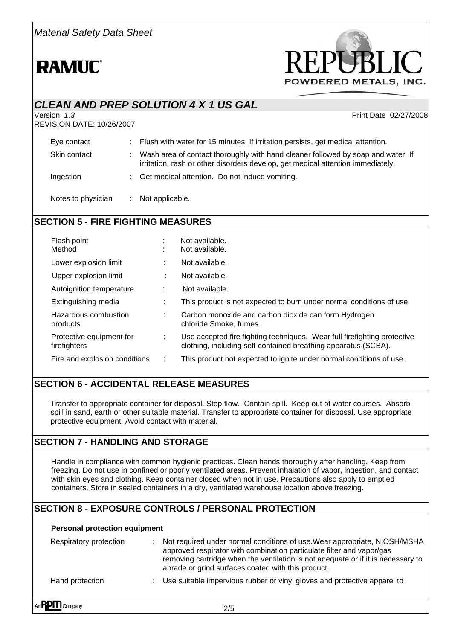

# *CLEAN AND PREP SOLUTION 4 X 1 US GAL*  Print Date 02/27/2008 REVISION DATE: 10/26/2007 Eye contact : Flush with water for 15 minutes. If irritation persists, get medical attention. Skin contact : Wash area of contact thoroughly with hand cleaner followed by soap and water. If irritation, rash or other disorders develop, get medical attention immediately. Ingestion : Get medical attention. Do not induce vomiting. Notes to physician : Not applicable.

# **SECTION 5 - FIRE FIGHTING MEASURES**

| Flash point<br>Method                    | ٠ | Not available.<br>Not available.                                                                                                           |
|------------------------------------------|---|--------------------------------------------------------------------------------------------------------------------------------------------|
| Lower explosion limit                    |   | Not available.                                                                                                                             |
| Upper explosion limit                    |   | Not available.                                                                                                                             |
| Autoignition temperature                 |   | Not available.                                                                                                                             |
| Extinguishing media                      |   | This product is not expected to burn under normal conditions of use.                                                                       |
| Hazardous combustion<br>products         |   | Carbon monoxide and carbon dioxide can form. Hydrogen<br>chloride.Smoke, fumes.                                                            |
| Protective equipment for<br>firefighters | ÷ | Use accepted fire fighting techniques. Wear full firefighting protective<br>clothing, including self-contained breathing apparatus (SCBA). |
| Fire and explosion conditions            |   | This product not expected to ignite under normal conditions of use.                                                                        |

# **SECTION 6 - ACCIDENTAL RELEASE MEASURES**

Transfer to appropriate container for disposal. Stop flow. Contain spill. Keep out of water courses. Absorb spill in sand, earth or other suitable material. Transfer to appropriate container for disposal. Use appropriate protective equipment. Avoid contact with material.

## **SECTION 7 - HANDLING AND STORAGE**

Handle in compliance with common hygienic practices. Clean hands thoroughly after handling. Keep from freezing. Do not use in confined or poorly ventilated areas. Prevent inhalation of vapor, ingestion, and contact with skin eyes and clothing. Keep container closed when not in use. Precautions also apply to emptied containers. Store in sealed containers in a dry, ventilated warehouse location above freezing.

## **SECTION 8 - EXPOSURE CONTROLS / PERSONAL PROTECTION**

#### **Personal protection equipment**

| Respiratory protection | Not required under normal conditions of use. Wear appropriate, NIOSH/MSHA<br>approved respirator with combination particulate filter and vapor/gas<br>removing cartridge when the ventilation is not adequate or if it is necessary to<br>abrade or grind surfaces coated with this product. |
|------------------------|----------------------------------------------------------------------------------------------------------------------------------------------------------------------------------------------------------------------------------------------------------------------------------------------|
| Hand protection        | : Use suitable impervious rubber or vinyl gloves and protective apparel to                                                                                                                                                                                                                   |
| $n$ <b>RPM</b> Company | 2/5                                                                                                                                                                                                                                                                                          |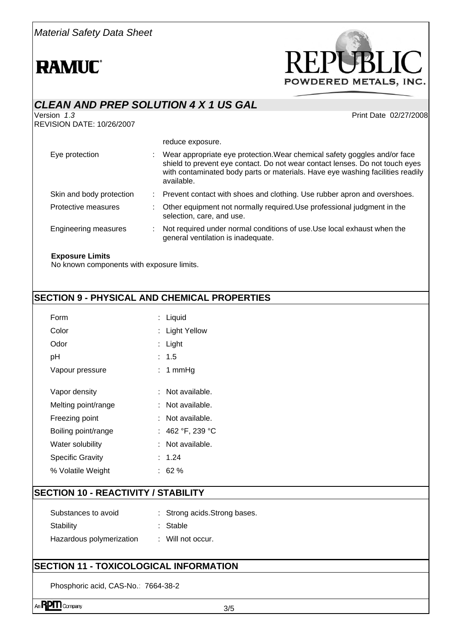*Material Safety Data Sheet* 

# **RAMUC**



| <b>CLEAN AND PREP SOLUTION 4 X 1 US GAL</b>            |  |                                                                                                                                                                                                                                                             |  |  |
|--------------------------------------------------------|--|-------------------------------------------------------------------------------------------------------------------------------------------------------------------------------------------------------------------------------------------------------------|--|--|
| Version <i>1.3</i><br><b>REVISION DATE: 10/26/2007</b> |  | Print Date 02/27/2008                                                                                                                                                                                                                                       |  |  |
|                                                        |  | reduce exposure.                                                                                                                                                                                                                                            |  |  |
| Eye protection                                         |  | : Wear appropriate eye protection. Wear chemical safety goggles and/or face<br>shield to prevent eye contact. Do not wear contact lenses. Do not touch eyes<br>with contaminated body parts or materials. Have eye washing facilities readily<br>available. |  |  |
| Skin and body protection                               |  | : Prevent contact with shoes and clothing. Use rubber apron and overshoes.                                                                                                                                                                                  |  |  |
| Protective measures                                    |  | Other equipment not normally required. Use professional judgment in the<br>selection, care, and use.                                                                                                                                                        |  |  |
| <b>Engineering measures</b>                            |  | Not required under normal conditions of use. Use local exhaust when the<br>general ventilation is inadequate.                                                                                                                                               |  |  |
| <b>Exposure Limits</b>                                 |  |                                                                                                                                                                                                                                                             |  |  |

No known components with exposure limits.

# **SECTION 9 - PHYSICAL AND CHEMICAL PROPERTIES**

| Form                    | : Liquid         |
|-------------------------|------------------|
| Color                   | : Light Yellow   |
| Odor                    | : Light          |
| рH                      | : 1.5            |
| Vapour pressure         | : 1 mmHg         |
|                         |                  |
| Vapor density           | : Not available. |
| Melting point/range     | : Not available. |
| Freezing point          | : Not available. |
| Boiling point/range     | : 462 °F, 239 °C |
| Water solubility        | Not available.   |
| <b>Specific Gravity</b> | : 1.24           |
| % Volatile Weight       | : 62 %           |
|                         |                  |

### **SECTION 10 - REACTIVITY / STABILITY**

| Substances to avoid      | : Strong acids Strong bases. |
|--------------------------|------------------------------|
| Stability                | : Stable                     |
| Hazardous polymerization | $\therefore$ Will not occur. |

#### **SECTION 11 - TOXICOLOGICAL INFORMATION**

Phosphoric acid, CAS-No.: 7664-38-2

An**RPM** Company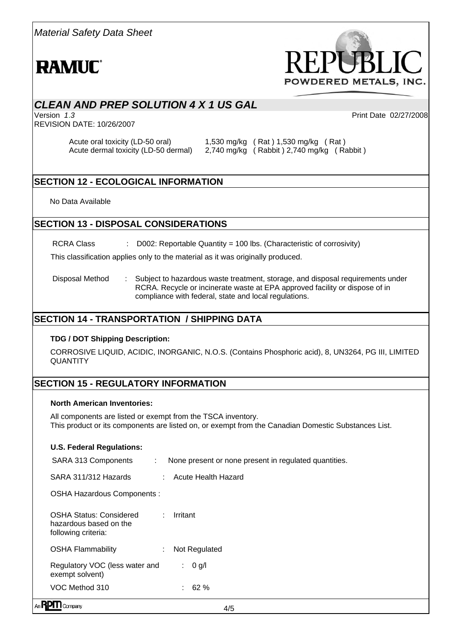

# *CLEAN AND PREP SOLUTION 4 X 1 US GAL*

Version *1*.*3* Print Date 02/27/2008 REVISION DATE: 10/26/2007

Acute oral toxicity (LD-50 oral) 1,530 mg/kg (Rat ) 1,530 mg/kg (Rat ) Acute dermal toxicity (LD-50 dermal) 2,740 mg/kg ( Rabbit ) 2,740 mg/kg ( Rabbit )

# **SECTION 12 - ECOLOGICAL INFORMATION**

No Data Available

#### **SECTION 13 - DISPOSAL CONSIDERATIONS**

RCRA Class : D002: Reportable Quantity = 100 lbs. (Characteristic of corrosivity)

This classification applies only to the material as it was originally produced.

Disposal Method : Subject to hazardous waste treatment, storage, and disposal requirements under RCRA. Recycle or incinerate waste at EPA approved facility or dispose of in compliance with federal, state and local regulations.

### **SECTION 14 - TRANSPORTATION / SHIPPING DATA**

#### **TDG / DOT Shipping Description:**

CORROSIVE LIQUID, ACIDIC, INORGANIC, N.O.S. (Contains Phosphoric acid), 8, UN3264, PG III, LIMITED **QUANTITY** 

## **SECTION 15 - REGULATORY INFORMATION**

#### **North American Inventories:**

All components are listed or exempt from the TSCA inventory. This product or its components are listed on, or exempt from the Canadian Domestic Substances List.

|  | <b>U.S. Federal Regulations:</b> |
|--|----------------------------------|
|--|----------------------------------|

Anl

| Company                                                                         |    | 4/5                                                   |
|---------------------------------------------------------------------------------|----|-------------------------------------------------------|
| VOC Method 310                                                                  |    | $: 62 \%$                                             |
| Regulatory VOC (less water and<br>exempt solvent)                               |    | 0 g/l<br>$\mathcal{L}$                                |
| <b>OSHA Flammability</b>                                                        | ÷. | Not Regulated                                         |
| <b>OSHA Status: Considered</b><br>hazardous based on the<br>following criteria: | ÷. | Irritant                                              |
| OSHA Hazardous Components :                                                     |    |                                                       |
| SARA 311/312 Hazards                                                            |    | : Acute Health Hazard                                 |
| SARA 313 Components<br>t.                                                       |    | None present or none present in regulated quantities. |